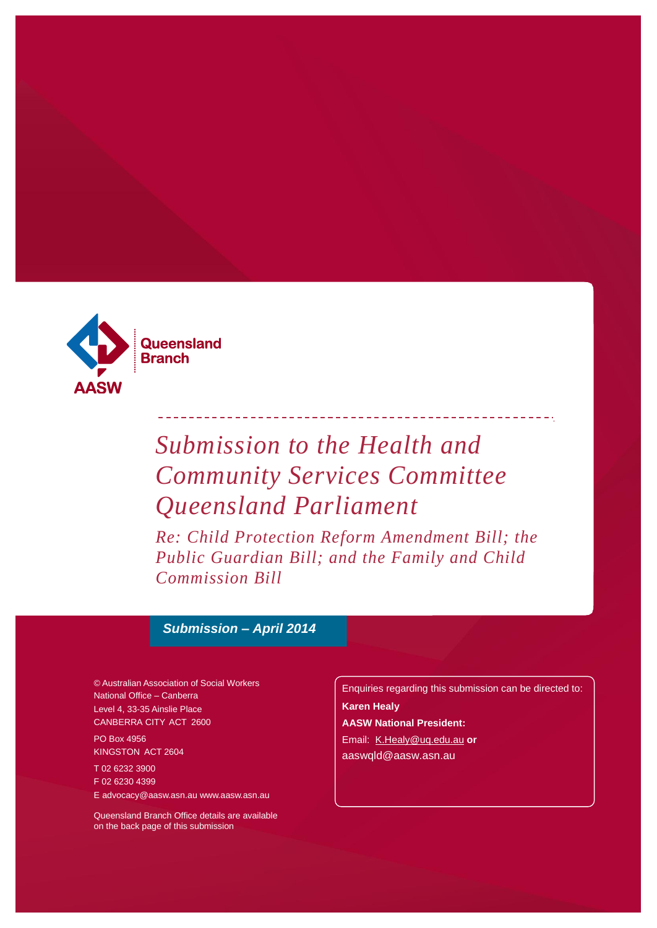

# *Submission to the Health and Community Services Committee Queensland Parliament*

*Re: Child Protection Reform Amendment Bill; the Public Guardian Bill; and the Family and Child Commission Bill*

### *Submission – April 2014*

© Australian Association of Social Workers National Office – Canberra Level 4, 33-35 Ainslie Place CANBERRA CITY ACT 2600

PO Box 4956 KINGSTON ACT 2604

T 02 6232 3900 F 02 6230 4399 [E advocacy@aasw.asn.au](mailto:advocacy@aasw.asn.au) [www.aasw.asn.au](mailto:advocacy@aasw.asn.au)

Queensland Branch Office details are available on the back page of this submission

Enquiries regarding this submission can be directed to: **Karen Healy AASW National President:**  Email: [K.Healy@uq.edu.au](mailto:K.Healy@uq.edu.au) **or** aaswqld@aasw.asn.au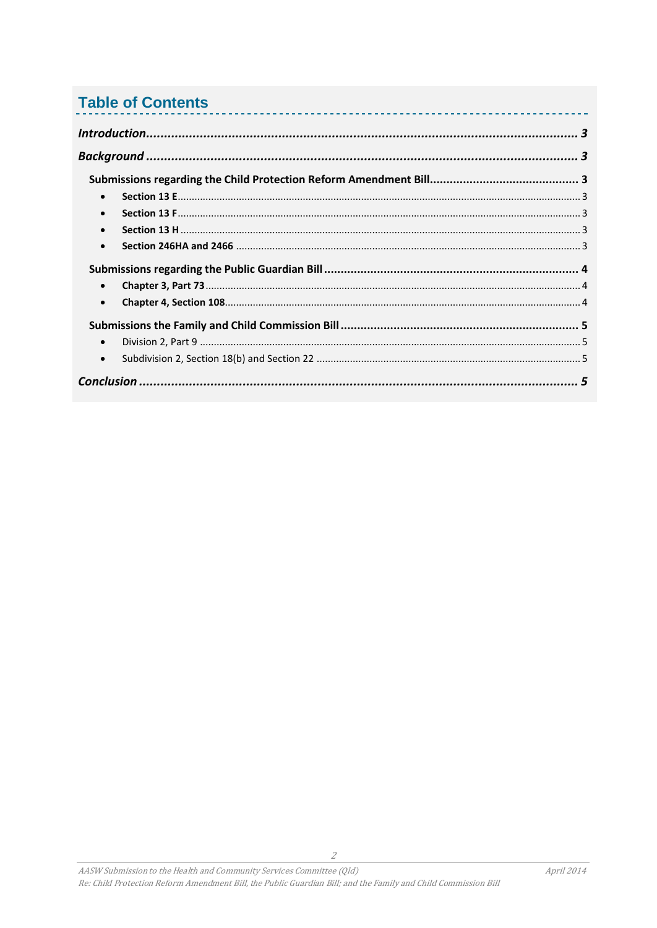# **Table of Contents**

| $\bullet$ |   |
|-----------|---|
| $\bullet$ |   |
| $\bullet$ |   |
| $\bullet$ |   |
|           |   |
| $\bullet$ |   |
| $\bullet$ |   |
|           |   |
| $\bullet$ |   |
| $\bullet$ |   |
|           | 5 |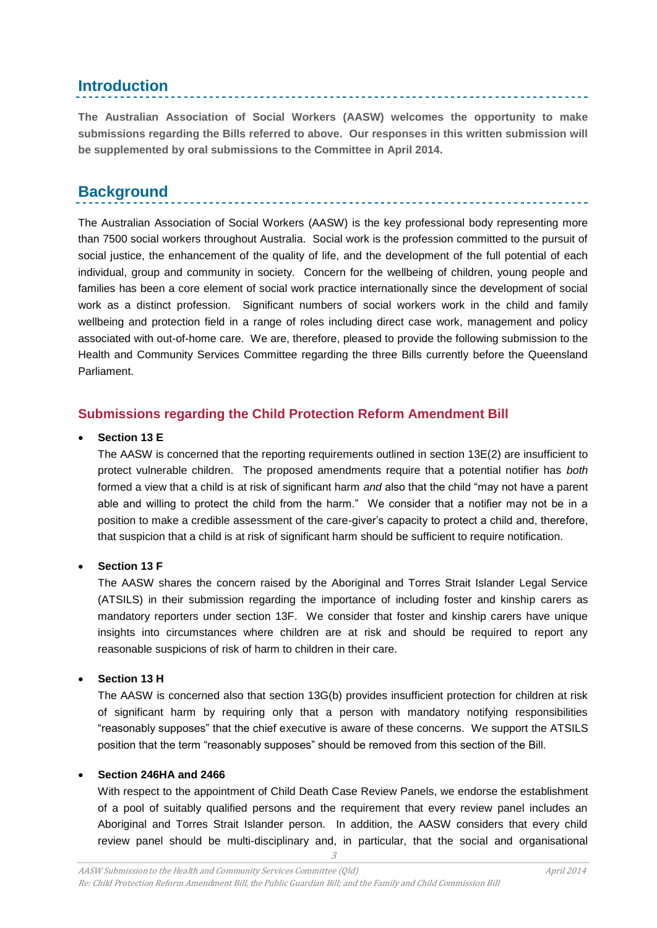# <span id="page-2-0"></span>**Introduction**

**The Australian Association of Social Workers (AASW) welcomes the opportunity to make submissions regarding the Bills referred to above. Our responses in this written submission will be supplemented by oral submissions to the Committee in April 2014.**

. . . . . . . . . . . . . . .

# <span id="page-2-1"></span>**Background**

The Australian Association of Social Workers (AASW) is the key professional body representing more than 7500 social workers throughout Australia. Social work is the profession committed to the pursuit of social justice, the enhancement of the quality of life, and the development of the full potential of each individual, group and community in society. Concern for the wellbeing of children, young people and families has been a core element of social work practice internationally since the development of social work as a distinct profession. Significant numbers of social workers work in the child and family wellbeing and protection field in a range of roles including direct case work, management and policy associated with out-of-home care. We are, therefore, pleased to provide the following submission to the Health and Community Services Committee regarding the three Bills currently before the Queensland Parliament.

#### <span id="page-2-2"></span>**Submissions regarding the Child Protection Reform Amendment Bill**

#### <span id="page-2-3"></span>**Section 13 E**

The AASW is concerned that the reporting requirements outlined in section 13E(2) are insufficient to protect vulnerable children. The proposed amendments require that a potential notifier has *both* formed a view that a child is at risk of significant harm *and* also that the child "may not have a parent able and willing to protect the child from the harm." We consider that a notifier may not be in a position to make a credible assessment of the care-giver's capacity to protect a child and, therefore, that suspicion that a child is at risk of significant harm should be sufficient to require notification.

#### <span id="page-2-4"></span>**Section 13 F**

The AASW shares the concern raised by the Aboriginal and Torres Strait Islander Legal Service (ATSILS) in their submission regarding the importance of including foster and kinship carers as mandatory reporters under section 13F. We consider that foster and kinship carers have unique insights into circumstances where children are at risk and should be required to report any reasonable suspicions of risk of harm to children in their care.

#### <span id="page-2-5"></span>**Section 13 H**

The AASW is concerned also that section 13G(b) provides insufficient protection for children at risk of significant harm by requiring only that a person with mandatory notifying responsibilities "reasonably supposes" that the chief executive is aware of these concerns. We support the ATSILS position that the term "reasonably supposes" should be removed from this section of the Bill.

#### <span id="page-2-6"></span>**Section 246HA and 2466**

With respect to the appointment of Child Death Case Review Panels, we endorse the establishment of a pool of suitably qualified persons and the requirement that every review panel includes an Aboriginal and Torres Strait Islander person. In addition, the AASW considers that every child review panel should be multi-disciplinary and, in particular, that the social and organisational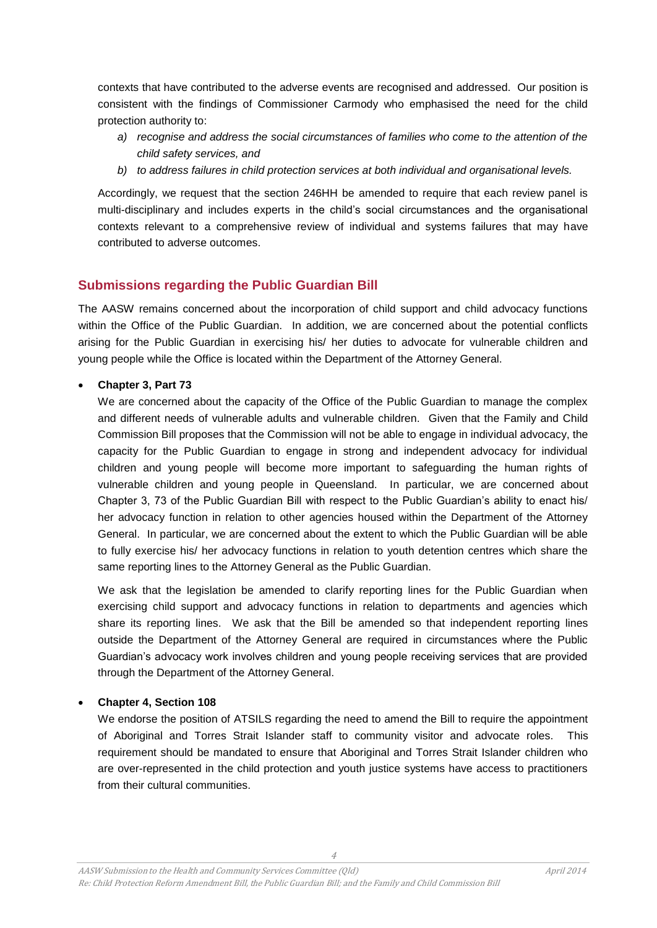contexts that have contributed to the adverse events are recognised and addressed. Our position is consistent with the findings of Commissioner Carmody who emphasised the need for the child protection authority to:

- *a) recognise and address the social circumstances of families who come to the attention of the child safety services, and*
- *b) to address failures in child protection services at both individual and organisational levels.*

Accordingly, we request that the section 246HH be amended to require that each review panel is multi-disciplinary and includes experts in the child's social circumstances and the organisational contexts relevant to a comprehensive review of individual and systems failures that may have contributed to adverse outcomes.

#### <span id="page-3-0"></span>**Submissions regarding the Public Guardian Bill**

The AASW remains concerned about the incorporation of child support and child advocacy functions within the Office of the Public Guardian. In addition, we are concerned about the potential conflicts arising for the Public Guardian in exercising his/ her duties to advocate for vulnerable children and young people while the Office is located within the Department of the Attorney General.

#### <span id="page-3-1"></span>**Chapter 3, Part 73**

We are concerned about the capacity of the Office of the Public Guardian to manage the complex and different needs of vulnerable adults and vulnerable children. Given that the Family and Child Commission Bill proposes that the Commission will not be able to engage in individual advocacy, the capacity for the Public Guardian to engage in strong and independent advocacy for individual children and young people will become more important to safeguarding the human rights of vulnerable children and young people in Queensland. In particular, we are concerned about Chapter 3, 73 of the Public Guardian Bill with respect to the Public Guardian's ability to enact his/ her advocacy function in relation to other agencies housed within the Department of the Attorney General. In particular, we are concerned about the extent to which the Public Guardian will be able to fully exercise his/ her advocacy functions in relation to youth detention centres which share the same reporting lines to the Attorney General as the Public Guardian.

We ask that the legislation be amended to clarify reporting lines for the Public Guardian when exercising child support and advocacy functions in relation to departments and agencies which share its reporting lines. We ask that the Bill be amended so that independent reporting lines outside the Department of the Attorney General are required in circumstances where the Public Guardian's advocacy work involves children and young people receiving services that are provided through the Department of the Attorney General.

#### <span id="page-3-2"></span>**Chapter 4, Section 108**

We endorse the position of ATSILS regarding the need to amend the Bill to require the appointment of Aboriginal and Torres Strait Islander staff to community visitor and advocate roles. This requirement should be mandated to ensure that Aboriginal and Torres Strait Islander children who are over-represented in the child protection and youth justice systems have access to practitioners from their cultural communities.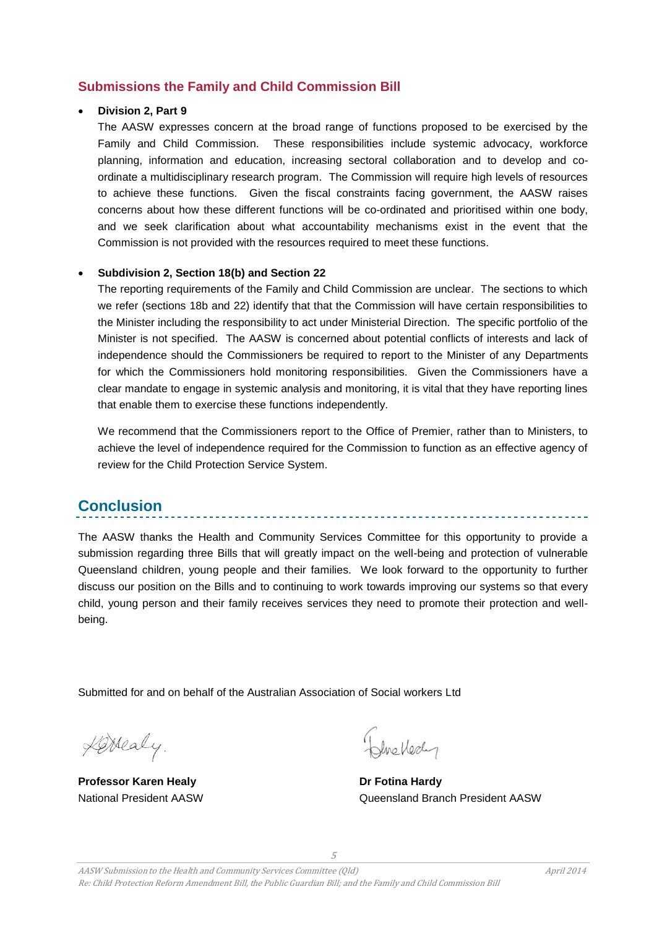#### <span id="page-4-0"></span>**Submissions the Family and Child Commission Bill**

#### <span id="page-4-1"></span>**Division 2, Part 9**

The AASW expresses concern at the broad range of functions proposed to be exercised by the Family and Child Commission. These responsibilities include systemic advocacy, workforce planning, information and education, increasing sectoral collaboration and to develop and coordinate a multidisciplinary research program. The Commission will require high levels of resources to achieve these functions. Given the fiscal constraints facing government, the AASW raises concerns about how these different functions will be co-ordinated and prioritised within one body, and we seek clarification about what accountability mechanisms exist in the event that the Commission is not provided with the resources required to meet these functions.

#### <span id="page-4-2"></span>**Subdivision 2, Section 18(b) and Section 22**

The reporting requirements of the Family and Child Commission are unclear. The sections to which we refer (sections 18b and 22) identify that that the Commission will have certain responsibilities to the Minister including the responsibility to act under Ministerial Direction. The specific portfolio of the Minister is not specified. The AASW is concerned about potential conflicts of interests and lack of independence should the Commissioners be required to report to the Minister of any Departments for which the Commissioners hold monitoring responsibilities. Given the Commissioners have a clear mandate to engage in systemic analysis and monitoring, it is vital that they have reporting lines that enable them to exercise these functions independently.

We recommend that the Commissioners report to the Office of Premier, rather than to Ministers, to achieve the level of independence required for the Commission to function as an effective agency of review for the Child Protection Service System.

# <span id="page-4-3"></span>**Conclusion**

The AASW thanks the Health and Community Services Committee for this opportunity to provide a submission regarding three Bills that will greatly impact on the well-being and protection of vulnerable Queensland children, young people and their families. We look forward to the opportunity to further discuss our position on the Bills and to continuing to work towards improving our systems so that every child, young person and their family receives services they need to promote their protection and wellbeing.

Submitted for and on behalf of the Australian Association of Social workers Ltd

Kerealy.

**Professor Karen Healy Dr Fotina Hardy** 

Bluekedy

National President AASW Queensland Branch President AASW

5